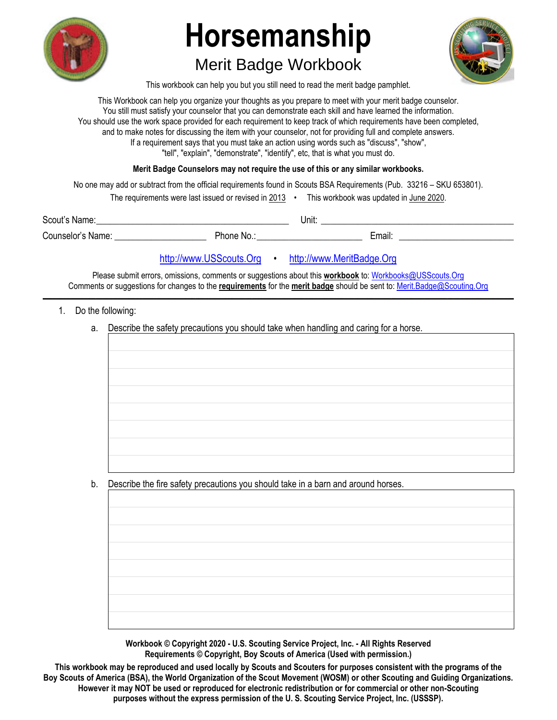

# **Horsemanship**

## Merit Badge Workbook



This workbook can help you but you still need to read the merit badge pamphlet.

This Workbook can help you organize your thoughts as you prepare to meet with your merit badge counselor. You still must satisfy your counselor that you can demonstrate each skill and have learned the information. You should use the work space provided for each requirement to keep track of which requirements have been completed, and to make notes for discussing the item with your counselor, not for providing full and complete answers. If a requirement says that you must take an action using words such as "discuss", "show", "tell", "explain", "demonstrate", "identify", etc, that is what you must do.

**Merit Badge Counselors may not require the use of this or any similar workbooks.**

No one may add or subtract from the official requirements found in Scouts BSA Requirements (Pub. 33216 – SKU 653801).

| The requirements were last issued or revised in 2013 |  | This workbook was updated in June 2020. |
|------------------------------------------------------|--|-----------------------------------------|
|------------------------------------------------------|--|-----------------------------------------|

| Scout's Name:     |            | Unit: |        |
|-------------------|------------|-------|--------|
| Counselor's Name: | Phone No.: |       | Email: |

#### http://www.USScouts.Org • http://www.MeritBadge.Org

Please submit errors, omissions, comments or suggestions about this **workbook** to: Workbooks@USScouts.Org Comments or suggestions for changes to the **requirements** for the **merit badge** should be sent to: Merit.Badge@Scouting.Org *\_\_\_\_\_\_\_\_\_\_\_\_\_\_\_\_\_\_\_\_\_\_\_\_\_\_\_\_\_\_\_\_\_\_\_\_\_\_\_\_\_\_\_\_\_\_\_\_\_\_\_\_\_\_\_\_\_\_\_\_\_\_\_\_\_\_\_\_\_\_\_\_\_\_\_\_\_\_\_\_\_\_\_\_\_\_\_\_\_\_\_\_\_\_\_\_\_\_\_\_\_\_\_\_\_\_\_\_\_\_\_\_\_\_\_\_\_\_\_\_\_\_\_\_\_\_\_\_\_\_\_\_\_\_\_\_\_\_\_\_\_\_* 

- 1. Do the following:
	- a. Describe the safety precautions you should take when handling and caring for a horse.

b. Describe the fire safety precautions you should take in a barn and around horses.

**Workbook © Copyright 2020 - U.S. Scouting Service Project, Inc. - All Rights Reserved Requirements © Copyright, Boy Scouts of America (Used with permission.)** 

**This workbook may be reproduced and used locally by Scouts and Scouters for purposes consistent with the programs of the Boy Scouts of America (BSA), the World Organization of the Scout Movement (WOSM) or other Scouting and Guiding Organizations. However it may NOT be used or reproduced for electronic redistribution or for commercial or other non-Scouting purposes without the express permission of the U. S. Scouting Service Project, Inc. (USSSP).**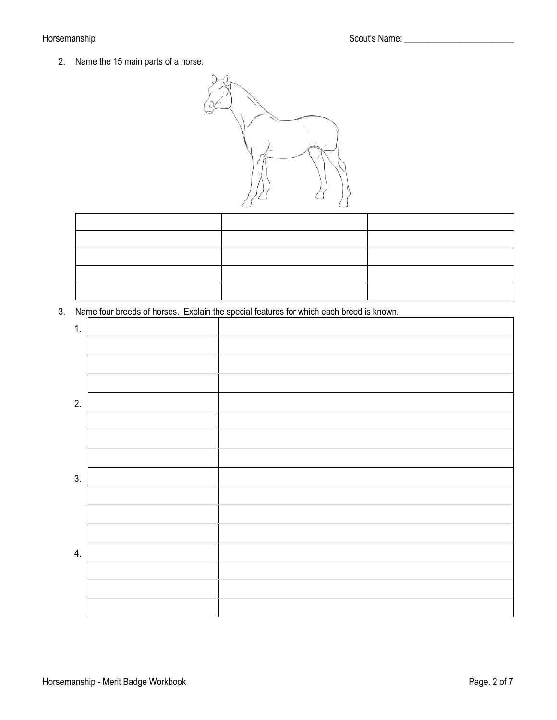2. Name the 15 main parts of a horse.

|--|

3. Name four breeds of horses. Explain the special features for which each breed is known.

| $\mathbf{1}$ . |  |
|----------------|--|
|                |  |
|                |  |
|                |  |
| 2.             |  |
|                |  |
|                |  |
|                |  |
| 3.             |  |
|                |  |
|                |  |
|                |  |
| 4.             |  |
|                |  |
|                |  |
|                |  |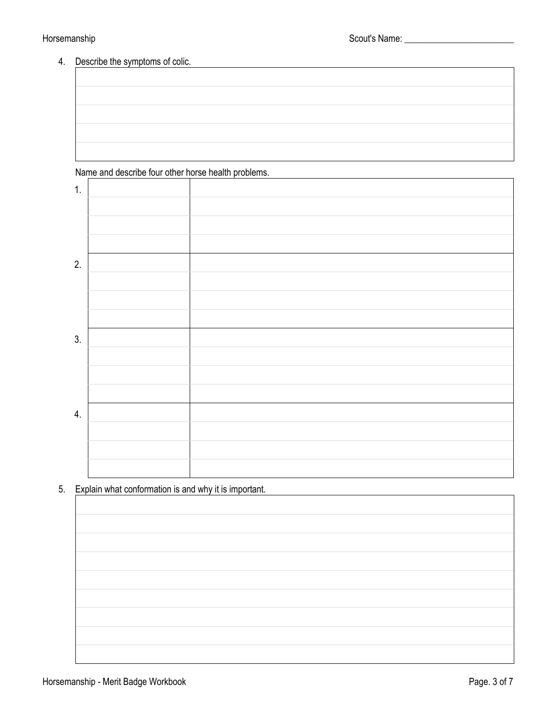#### 4. Describe the symptoms of colic.

### Name and describe four other horse health problems.

| 1. |  |
|----|--|
|    |  |
|    |  |
|    |  |
| 2. |  |
|    |  |
|    |  |
|    |  |
| 3. |  |
|    |  |
|    |  |
|    |  |
| 4. |  |
|    |  |
|    |  |
|    |  |

5. Explain what conformation is and why it is important.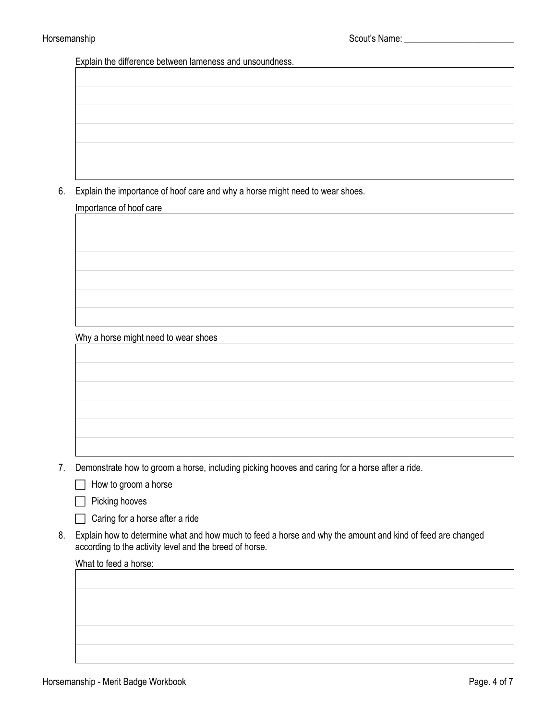Explain the difference between lameness and unsoundness.

6. Explain the importance of hoof care and why a horse might need to wear shoes.

#### Importance of hoof care

Why a horse might need to wear shoes

7. Demonstrate how to groom a horse, including picking hooves and caring for a horse after a ride.

 $\Box$  How to groom a horse

 $\Box$  Picking hooves

 $\Box$  Caring for a horse after a ride

8. Explain how to determine what and how much to feed a horse and why the amount and kind of feed are changed according to the activity level and the breed of horse.

#### What to feed a horse: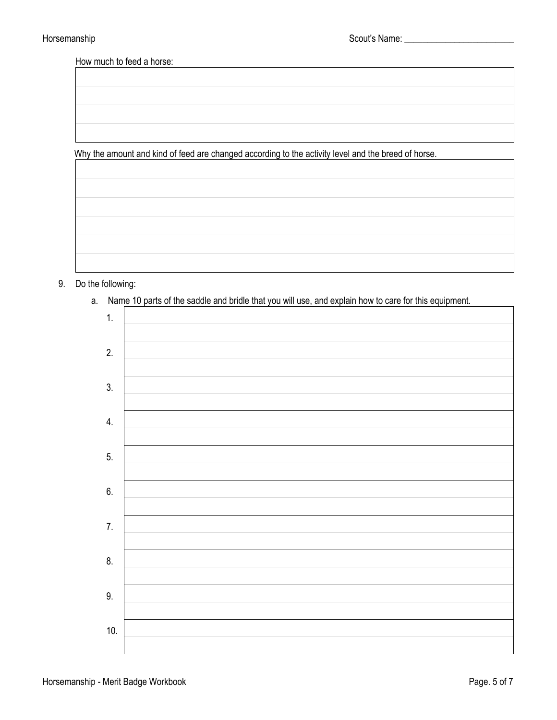How much to feed a horse:

Why the amount and kind of feed are changed according to the activity level and the breed of horse.

9. Do the following:

a. Name 10 parts of the saddle and bridle that you will use, and explain how to care for this equipment.

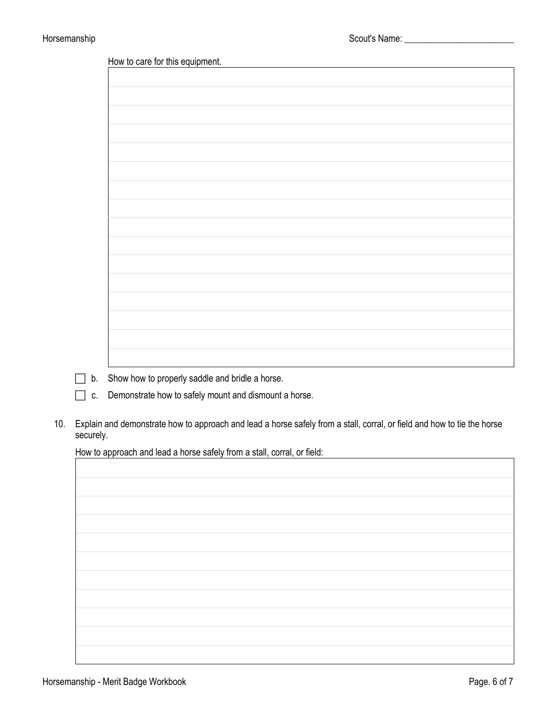| How to care for this equipment. |  |  |
|---------------------------------|--|--|
|                                 |  |  |
|                                 |  |  |
|                                 |  |  |
|                                 |  |  |
|                                 |  |  |
|                                 |  |  |
|                                 |  |  |
|                                 |  |  |
|                                 |  |  |
|                                 |  |  |
|                                 |  |  |
|                                 |  |  |
|                                 |  |  |
|                                 |  |  |
|                                 |  |  |
|                                 |  |  |
|                                 |  |  |
|                                 |  |  |
|                                 |  |  |
|                                 |  |  |
|                                 |  |  |
|                                 |  |  |
|                                 |  |  |
|                                 |  |  |
|                                 |  |  |

- b. Show how to properly saddle and bridle a horse.
- $\Box$  c. Demonstrate how to safely mount and dismount a horse.
- 10. Explain and demonstrate how to approach and lead a horse safely from a stall, corral, or field and how to tie the horse securely.

How to approach and lead a horse safely from a stall, corral, or field: